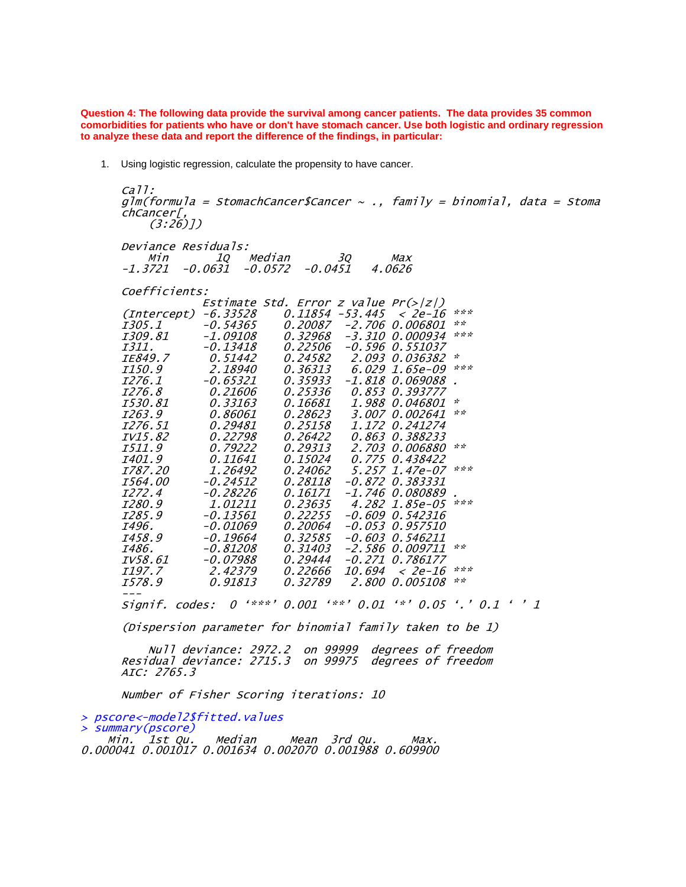**Question 4: The following data provide the survival among cancer patients. The data provides 35 common comorbidities for patients who have or don't have stomach cancer. Use both logistic and ordinary regression to analyze these data and report the difference of the findings, in particular:**

1. Using logistic regression, calculate the propensity to have cancer.

```
ca11:glm(formula = StomachCancer$Cancer ~ ., family = binomial, data = Stoma
chCancer[,
 (3:26)])
Deviance Residuals:
    Min 1Q Median 3Q Max 
-1.3721 -0.0631 -0.0572 -0.0451 4.0626 
Coefficients:
           Estimate Std. Error z value Pr(>|z|) 
(Intercept) -6.33528 0.11854 -53.445 < 2e-16 ***
                            -2.706 0.006801
I309.81 -1.09108 0.32968 -3.310 0.000934 ***
I311. -0.13418 0.22506 -0.596 0.551037 
IE849.7 0.51442 0.24582 2.093 0.036382 * 
I150.9 2.18940 0.36313 6.029 1.65e-09 ***
I276.1 -0.65321 0.35933 -1.818 0.069088 . 
I276.8 0.21606 0.25336 0.853 0.393777 
I530.81 0.33163 0.16681 1.988 0.046801 * 
I263.9 0.86061 0.28623 3.007 0.002641 **
I276.51 0.29481 0.25158 1.172 0.241274 
IV15.82 0.22798 0.26422 0.863 0.388233 
I511.9 0.79222 0.29313 2.703 0.006880 **
I401.9 0.11641 0.15024 0.775 0.438422 
           1.26492 0.24062 5.257 1.47e-07 ***
I564.00 -0.24512 0.28118 -0.872 0.383331 
I272.4 -0.28226 0.16171 -1.746 0.080889 . 
I280.9 1.01211 0.23635 4.282 1.85e-05 ***
                            -0.609 0.542316
I496. -0.01069 0.20064 -0.053 0.957510 
I458.9 -0.19664 0.32585 -0.603 0.546211 
I486. -0.81208 0.31403 -2.586 0.009711 **
IV58.61 -0.07988 0.29444 -0.271 0.786177 
I197.7 2.42379 0.22666 10.694 < 2e-16 ***
I578.9 0.91813 0.32789 2.800 0.005108 **
---
Signif. codes: 0 '***' 0.001 '**' 0.01 '*' 0.05 '.' 0.1 ' ' 1
(Dispersion parameter for binomial family taken to be 1)
```
 Null deviance: 2972.2 on 99999 degrees of freedom Residual deviance: 2715.3 on 99975 AIC: 2765.3

Number of Fisher Scoring iterations: 10

> pscore<-model2\$fitted.values

summary(pscore)<br>Min. 1st Qu.

Median Mean 3rd Qu. Max. 0.000041 0.001017 0.001634 0.002070 0.001988 0.609900